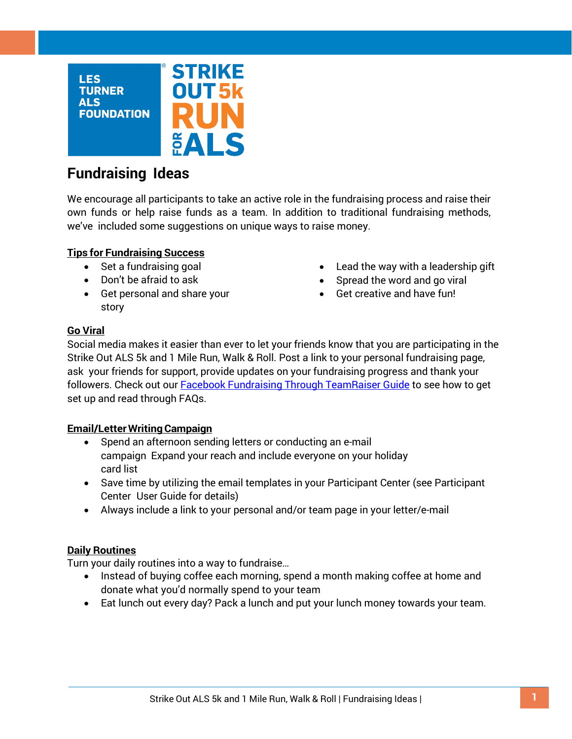

# **Fundraising Ideas**

We encourage all participants to take an active role in the fundraising process and raise their own funds or help raise funds as a team. In addition to traditional fundraising methods, we've included some suggestions on unique ways to raise money.

# **Tips for Fundraising Success**

- Set a fundraising goal
- Don't be afraid to ask
- Get personal and share your story
- Lead the way with a leadership gift
- Spread the word and go viral
- Get creative and have fun!

### **Go Viral**

Social media makes it easier than ever to let your friends know that you are participating in the Strike Out ALS 5k and 1 Mile Run, Walk & Roll. Post a link to your personal fundraising page, ask your friends for support, provide updates on your fundraising progress and thank your followers. Check out our **Facebook Fundraising Through TeamRaiser Guide** to see how to get set up and read through FAQs.

### **Email/Letter WritingCampaign**

- Spend an afternoon sending letters or conducting an e-mail campaign Expand your reach and include everyone on your holiday card list
- Save time by utilizing the email templates in your Participant Center (see Participant Center User Guide for details)
- Always include a link to your personal and/or team page in your letter/e-mail

#### **Daily Routines**

Turn your daily routines into a way to fundraise…

- Instead of buying coffee each morning, spend a month making coffee at home and donate what you'd normally spend to your team
- Eat lunch out every day? Pack a lunch and put your lunch money towards your team.